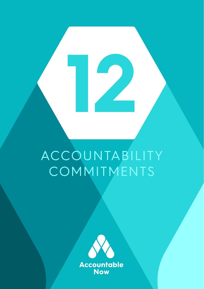# **ACCOUNTABILITY COMMITMENTS**

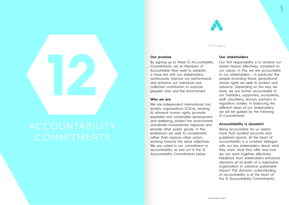

#### PREAMBLE

#### **Our promise**

By signing up to these 12 Accountability Commitments, we as Members of Accountable Now seek to establish a close link with our stakeholders, continuously improve our performance and enhance our individual and collective contribution to improve peoples' lives and the environment.

#### **Who we are**

We are independent international civil society organisations (CSOs), working to advance human rights; promote equitable and sustainable development and wellbeing; protect the environment; coordinate humanitarian response and provide other public goods. In this endeavour we seek to complement, rather than replace, other actors working towards the same objectives. We are united in our commitment to accountability, as laid out in the 12 Accountability Commitments below.

#### **Our stakeholders**

Our first responsibility is to achieve our stated mission effectively, consistent to our values. In this, we are accountable to our stakeholders – in particular the people (including future generations) whose rights we seek to protect and advance. Depending on the way we work, we are further accountable to our members, supporters, ecosystems, staff, volunteers, donors, partners or regulatory bodies. In balancing the different views of our stakeholders, we will be guided by the following 12 Commitments.

**1**

#### **Accountability is dynamic!**

Being accountable for us means more than audited accounts and published reports. At the heart of accountability is a constant dialogue with our key stakeholders about what they want, what they offer and how we can work together effectively. Feedback from stakeholders enhances decisions at all levels of a responsive organisation to advance sustainable impact. This dynamic understanding of accountability is at the heart of the 12 Accountability Commitments.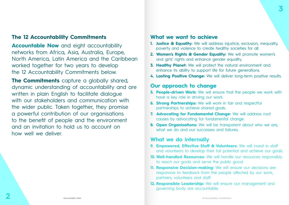# **The 12 Accountability Commitments**

**Accountable Now** and eight accountability networks from Africa, Asia, Australia, Europe, North America, Latin America and the Caribbean worked together for two years to develop the 12 Accountability Commitments below.

**The Commitments** capture a globally shared, dynamic understanding of accountability and are written in plain English to facilitate dialogue with our stakeholders and communication with the wider public. Taken together, they promise a powerful contribution of our organisations to the benefit of people and the environment and an invitation to hold us to account on how well we deliver.

# **What we want to achieve**

- **1. Justice & Equality:** We will address injustice, exclusion, inequality, poverty and violence to create healthy societies for all.
- **2. Women's Rights & Gender Equality:** We will promote women's and girls' rights and enhance gender equality.
- **3. Healthy Planet:** We will protect the natural environment and enhance its ability to support life for future generations.
- **4. Lasting Positive Change:** We will deliver long-term positive results.

### **Our approach to change**

- **5. People-driven Work:** We will ensure that the people we work with have a key role in driving our work.
- **6. Strong Partnerships:** We will work in fair and respectful partnerships to achieve shared goals.
- **7. Advocating for Fundamental Change:** We will address root causes by advocating for fundamental change.
- **8. Open Organisations:** We will be transparent about who we are, what we do and our successes and failures.

# **What we do internally**

- **9. Empowered, Effective Staff & Volunteers:** We will invest in staff and volunteers to develop their full potential and achieve our goals.
- **10. Well-handled Resources:** We will handle our resources responsibly to reach our goals and serve the public good.
- **11. Responsive Decision-making:** We will ensure our decisions are responsive to feedback from the people affected by our work, partners, volunteers and staff.
- **12. Responsible Leadership:** We will ensure our management and governing body are accountable.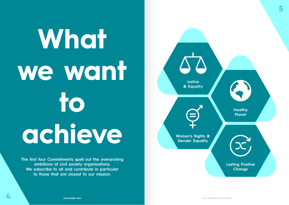# **What we want to achieve**

**The first four Commitments spell out the overarching ambitions of civil society organisations. We subscribe to all and contribute in particular to those that are closest to our mission.**

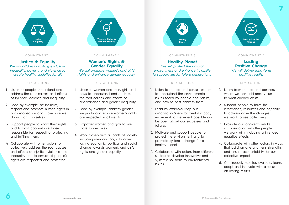

#### COMMITMENT 1

**Justice & Equality** *We will address injustice, exclusion, inequality, poverty and violence to create healthy societies for all.*

#### KEY ACTIONS

- 1. Listen to people, understand and address the root causes and effects of injustice, violence and inequality.
- 2. Lead by example: be inclusive, respect and promote human rights in our organisation and make sure we do no harm ourselves.
- 3. Support people to know their rights and to hold accountable those responsible for respecting, protecting and fulfilling them.
- 4. Collaborate with other actors to collectively address the root causes and effects of injustice, violence and inequality and to ensure all people's rights are respected and protected.



#### COMMITMENT 2

**Women's Rights & Gender Equality** *We will promote women's and girls' rights and enhance gender equality.*

#### KEY ACTIONS

- 1. Listen to women and men, girls and boys to understand and address the root causes and effects of discrimination and gender inequality.
- 2. Lead by example: address gender inequality and ensure women's rights are respected in all we do.
- 3. Empower women and girls to live more fulfilled lives.
- 4. Work closely with all parts of society, including men and boys, to drive lasting economic, political and social change towards women's and girl's rights and gender equality.



#### COMMITMENT 3

**Healthy Planet** *We will protect the natural environment and enhance its ability to support life for future generations.*

#### KEY ACTIONS

- 1. Listen to people and consult experts to understand the environmental issues faced by people and nature, and how to best address them.
- 2. Lead by example: Map our organisation's environmental impact, minimise it to the extent possible and be open about our successes and failures.
- 3. Motivate and support people to protect the environment and to promote systemic change for a healthy planet.
- 4. Collaborate with actors from different sectors to develop innovative and systemic solutions to environmental issues.



**7**

#### COMMITMENT 4

**Lasting Positive Change** *We will deliver long-term positive results.*

#### KEY ACTIONS

- 1. Learn from people and partners where we can add most value to what already exists.
- 2. Support people to have the information, resources and capacity to actively drive the changes we want to see collectively.
- 3. Evaluate our long-term results in consultation with the people we work with, including unintended negative effects.
- 4. Collaborate with other actors in ways that build on one another's strengths and ensure accountability for our collective impact.
- 5. Continuously monitor, evaluate, learn, adapt and innovate with a focus on lasting results.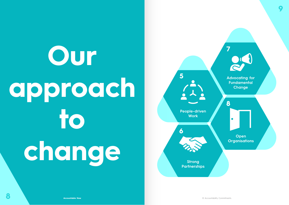# **Our approach to change**

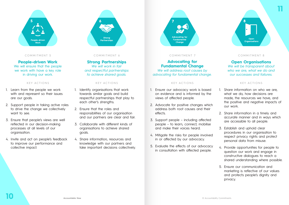



#### COMMITMENT 5

**People-driven Work** We will ensure that the people we work with have a key role in driving our work.

#### KEY ACTIONS

- 1. Learn from the people we work with and represent so their issues are our goals.
- 2. Support people in taking active roles to drive the change we collectively want to see.
- 3. Ensure that people's views are well reflected in our decision-making processes at all levels of our organisation.
- 4. Invite and act on people's feedback to improve our performance and collective impact.



#### COMMITMENT 6

**Strong Partnerships** *We will work in fair and respectful partnerships to achieve shared goals.*

#### KEY ACTIONS

- 1. Identify organisations that work towards similar goals and build respectful partnerships that play to each other's strengths.
- 2. Ensure that the roles and responsibilities of our organisation and our partners are clear and fair.
- 3. Collaborate with different kinds of organisations to achieve shared goals.
- 4. Share information, resources and knowledge with our partners and take important decisions collectively.



#### COMMITMENT 7

#### **Advocating for Fundamental Change** *We will address root causes by advocating for fundamental change.*

#### KEY ACTIONS

- 1. Ensure our advocacy work is based on evidence and is informed by the views of affected people.
- 2. Advocate for positive changes which address both root causes and their effects.
- 3. Support people including affected people – to learn, connect, mobilise and make their voices heard.
- 4. Mitigate the risks for people involved in or affected by our advocacy.
- 5. Evaluate the effects of our advocacy in consultation with affected people.



#### COMMITMENT 8

#### **Open Organisations**

*We will be transparent about who we are, what we do and our successes and failures.*

#### KEY ACTIONS

- 1. Share information on who we are, what we do, how decisions are made, the resources we have, and the positive and negative impacts of our work.
- 2. Share information in a timely and accurate manner and in ways which are accessible to all people.
- 3. Establish and uphold clear procedures in our organisation to respect privacy rights and protect personal data from misuse.
- 4. Provide opportunities for people to question our work and engage in constructive dialogues to reach a shared understanding where possible.
- 5. Ensure our communication and marketing is reflective of our values and protects people's dignity and privacy.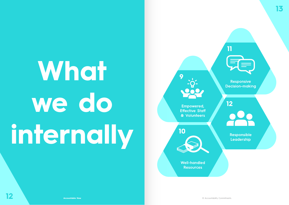# **What we do internally**

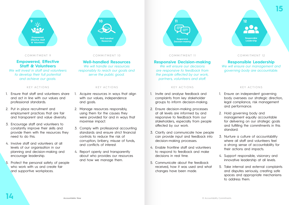

COMMITMENT 9

#### **Empowered, Effective Staff & Volunteers**

*We will invest in staff and volunteers to develop their full potential and achieve our goals.*

#### KEY ACTIONS

- 1. Ensure that staff and volunteers share and act in line with our values and professional standards.
- 2. Put in place recruitment and employment practices that are fair and transparent and value diversity.
- 3. Encourage staff and volunteers to constantly improve their skills and provide them with the resources they need to do this.
- 4. Involve staff and volunteers at all levels of our organisation in our planning and decision-making and encourage leadership.
- 5. Protect the personal safety of people who work with us and create fair and supportive workplaces.



COMMITMENT 10

**Well-handled Resources** *We will handle our resources responsibly to reach our goals and serve the public good.*

#### KEY ACTIONS

- 1. Acquire resources in ways that align with our values, independence and goals.
- 2. Manage resources responsibly, using them for the causes they were provided for and in ways that maximise impact.
- 3. Comply with professional accounting standards and ensure strict financial controls to reduce the risk of corruption, bribery, misuse of funds, and conflicts of interest.
- 4. Report openly and transparently about who provides our resources and how we manage them.



#### COMMITMENT 11

#### **Responsive Decision-making**

*We will ensure our decisions are responsive to feedback from the people affected by our work, partners, volunteers and staff.*

#### KEY ACTIONS

- 1. Invite and analyse feedback and complaints from key stakeholder groups to inform decision-making.
- 2. Ensure decision-making processes at all levels are informed by and responsive to feedback from our stakeholders, especially from people affected by our work.
- 3. Clarify and communicate how people can provide input and feedback into decision-making processes.
- 4. Enable frontline staff and volunteers to respond to feedback and make decisions in real time.
- 5. Communicate about the feedback received, how it was used and what changes have been made.



#### COMMITMENT 12

### **Responsible Leadership**

*We will ensure our management and governing body are accountable.*

#### KEY ACTIONS

- 1. Ensure an independent governing body oversees our strategic direction, legal compliance, risk management and performance.
- 2. Hold governing body and management equally accountable for delivering on our strategic goals and fulfilling the commitments in this standard.
- 3. Nurture a culture of accountability where all staff and volunteers feel a strong sense of accountability for their actions and impacts.
- 4. Support responsible, visionary and innovative leadership at all levels.
- 5. Take internal and external complaints and disputes seriously, creating safe spaces and appropriate mechanisms to address them.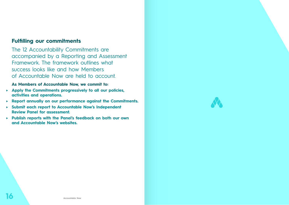# **Fulfilling our commitments**

The 12 Accountability Commitments are accompanied by a Reporting and Assessment Framework. The framework outlines what success looks like and how Members of Accountable Now are held to account.

### **As Members of Accountable Now, we commit to:**

- **► Apply the Commitments progressively to all our policies, activities and operations.**
- **► Report annually on our performance against the Commitments.**
- **► Submit each report to Accountable Now's Independent Review Panel for assessment.**
- **► Publish reports with the Panel's feedback on both our own and Accountable Now's websites.**